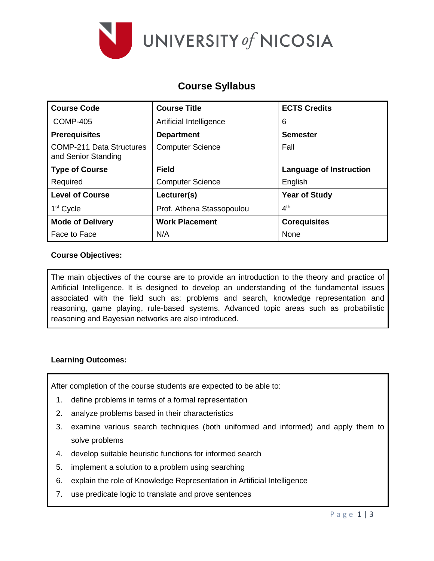

## **Course Syllabus**

| <b>Course Code</b>                                     | <b>Course Title</b>       | <b>ECTS Credits</b>            |  |
|--------------------------------------------------------|---------------------------|--------------------------------|--|
| <b>COMP-405</b>                                        | Artificial Intelligence   | 6                              |  |
| <b>Prerequisites</b>                                   | <b>Department</b>         | <b>Semester</b>                |  |
| <b>COMP-211 Data Structures</b><br>and Senior Standing | <b>Computer Science</b>   | Fall                           |  |
| <b>Type of Course</b>                                  | <b>Field</b>              | <b>Language of Instruction</b> |  |
| Required                                               | <b>Computer Science</b>   | English                        |  |
| <b>Level of Course</b>                                 | Lecturer(s)               | <b>Year of Study</b>           |  |
| 1 <sup>st</sup> Cycle                                  | Prof. Athena Stassopoulou | 4 <sup>th</sup>                |  |
| <b>Mode of Delivery</b>                                | <b>Work Placement</b>     | <b>Corequisites</b>            |  |
| Face to Face                                           | N/A                       | None                           |  |

### **Course Objectives:**

The main objectives of the course are to provide an introduction to the theory and practice of Artificial Intelligence. It is designed to develop an understanding of the fundamental issues associated with the field such as: problems and search, knowledge representation and reasoning, game playing, rule-based systems. Advanced topic areas such as probabilistic reasoning and Bayesian networks are also introduced.

### **Learning Outcomes:**

After completion of the course students are expected to be able to:

- 1. define problems in terms of a formal representation
- 2. analyze problems based in their characteristics
- 3. examine various search techniques (both uniformed and informed) and apply them to solve problems
- 4. develop suitable heuristic functions for informed search
- 5. implement a solution to a problem using searching
- 6. explain the role of Knowledge Representation in Artificial Intelligence
- 7. use predicate logic to translate and prove sentences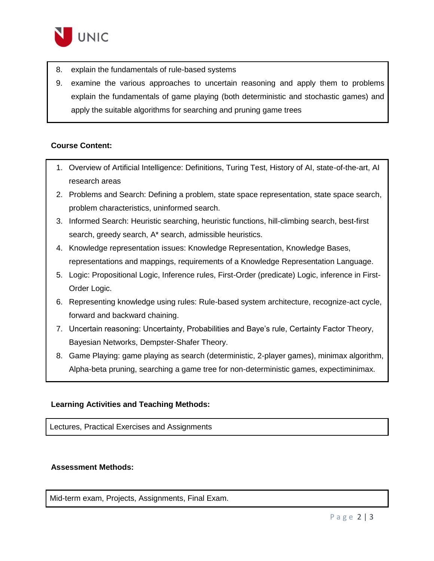

- 8. explain the fundamentals of rule-based systems
- 9. examine the various approaches to uncertain reasoning and apply them to problems explain the fundamentals of game playing (both deterministic and stochastic games) and apply the suitable algorithms for searching and pruning game trees

### **Course Content:**

- 1. Overview of Artificial Intelligence: Definitions, Turing Test, History of AI, state-of-the-art, AI research areas
- 2. Problems and Search: Defining a problem, state space representation, state space search, problem characteristics, uninformed search.
- 3. Informed Search: Heuristic searching, heuristic functions, hill-climbing search, best-first search, greedy search, A\* search, admissible heuristics.
- 4. Knowledge representation issues: Knowledge Representation, Knowledge Bases, representations and mappings, requirements of a Knowledge Representation Language.
- 5. Logic: Propositional Logic, Inference rules, First-Order (predicate) Logic, inference in First-Order Logic.
- 6. Representing knowledge using rules: Rule-based system architecture, recognize-act cycle, forward and backward chaining.
- 7. Uncertain reasoning: Uncertainty, Probabilities and Baye's rule, Certainty Factor Theory, Bayesian Networks, Dempster-Shafer Theory.
- 8. Game Playing: game playing as search (deterministic, 2-player games), minimax algorithm, Alpha-beta pruning, searching a game tree for non-deterministic games, expectiminimax.

#### **Learning Activities and Teaching Methods:**

Lectures, Practical Exercises and Assignments

#### **Assessment Methods:**

Mid-term exam, Projects, Assignments, Final Exam.